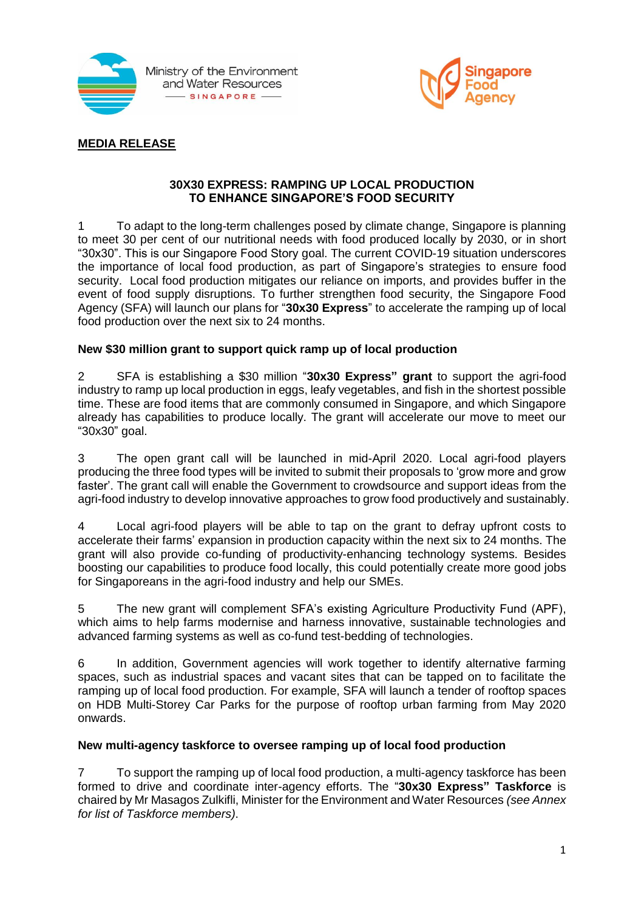



### **MEDIA RELEASE**

#### **30X30 EXPRESS: RAMPING UP LOCAL PRODUCTION TO ENHANCE SINGAPORE'S FOOD SECURITY**

1 To adapt to the long-term challenges posed by climate change, Singapore is planning to meet 30 per cent of our nutritional needs with food produced locally by 2030, or in short "30x30". This is our Singapore Food Story goal. The current COVID-19 situation underscores the importance of local food production, as part of Singapore's strategies to ensure food security. Local food production mitigates our reliance on imports, and provides buffer in the event of food supply disruptions. To further strengthen food security, the Singapore Food Agency (SFA) will launch our plans for "**30x30 Express**" to accelerate the ramping up of local food production over the next six to 24 months.

### **New \$30 million grant to support quick ramp up of local production**

2 SFA is establishing a \$30 million "**30x30 Express" grant** to support the agri-food industry to ramp up local production in eggs, leafy vegetables, and fish in the shortest possible time. These are food items that are commonly consumed in Singapore, and which Singapore already has capabilities to produce locally. The grant will accelerate our move to meet our "30x30" goal.

3 The open grant call will be launched in mid-April 2020. Local agri-food players producing the three food types will be invited to submit their proposals to 'grow more and grow faster'. The grant call will enable the Government to crowdsource and support ideas from the agri-food industry to develop innovative approaches to grow food productively and sustainably.

4 Local agri-food players will be able to tap on the grant to defray upfront costs to accelerate their farms' expansion in production capacity within the next six to 24 months. The grant will also provide co-funding of productivity-enhancing technology systems. Besides boosting our capabilities to produce food locally, this could potentially create more good jobs for Singaporeans in the agri-food industry and help our SMEs.

5 The new grant will complement SFA's existing Agriculture Productivity Fund (APF), which aims to help farms modernise and harness innovative, sustainable technologies and advanced farming systems as well as co-fund test-bedding of technologies.

6 In addition, Government agencies will work together to identify alternative farming spaces, such as industrial spaces and vacant sites that can be tapped on to facilitate the ramping up of local food production. For example, SFA will launch a tender of rooftop spaces on HDB Multi-Storey Car Parks for the purpose of rooftop urban farming from May 2020 onwards.

### **New multi-agency taskforce to oversee ramping up of local food production**

7 To support the ramping up of local food production, a multi-agency taskforce has been formed to drive and coordinate inter-agency efforts. The "**30x30 Express" Taskforce** is chaired by Mr Masagos Zulkifli, Minister for the Environment and Water Resources *(see Annex for list of Taskforce members)*.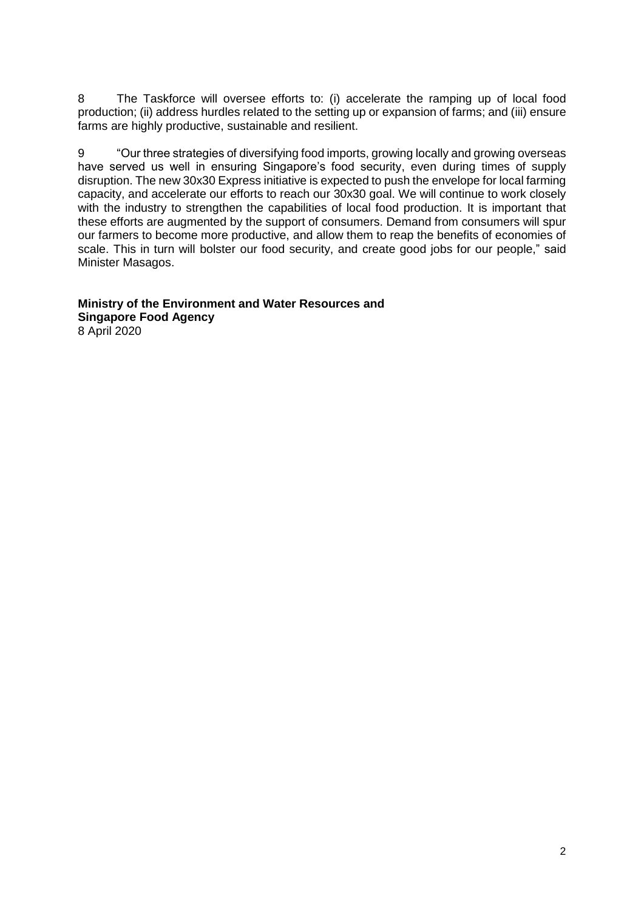8 The Taskforce will oversee efforts to: (i) accelerate the ramping up of local food production; (ii) address hurdles related to the setting up or expansion of farms; and (iii) ensure farms are highly productive, sustainable and resilient.

9 "Our three strategies of diversifying food imports, growing locally and growing overseas have served us well in ensuring Singapore's food security, even during times of supply disruption. The new 30x30 Express initiative is expected to push the envelope for local farming capacity, and accelerate our efforts to reach our 30x30 goal. We will continue to work closely with the industry to strengthen the capabilities of local food production. It is important that these efforts are augmented by the support of consumers. Demand from consumers will spur our farmers to become more productive, and allow them to reap the benefits of economies of scale. This in turn will bolster our food security, and create good jobs for our people," said Minister Masagos.

#### **Ministry of the Environment and Water Resources and Singapore Food Agency** 8 April 2020